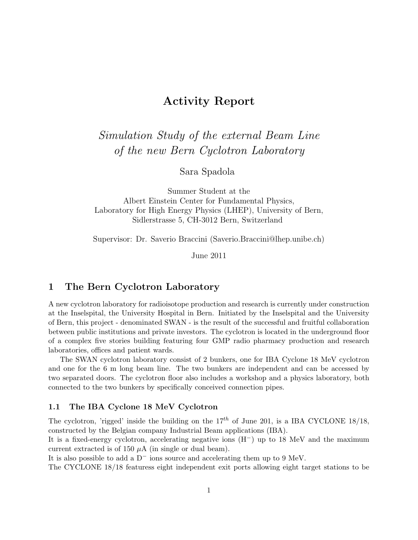# Activity Report

*Simulation Study of the external Beam Line of the new Bern Cyclotron Laboratory*

Sara Spadola

Summer Student at the Albert Einstein Center for Fundamental Physics, Laboratory for High Energy Physics (LHEP), University of Bern, Sidlerstrasse 5, CH-3012 Bern, Switzerland

Supervisor: Dr. Saverio Braccini (Saverio.Braccini@lhep.unibe.ch)

June 2011

## 1 The Bern Cyclotron Laboratory

A new cyclotron laboratory for radioisotope production and research is currently under construction at the Inselspital, the University Hospital in Bern. Initiated by the Inselspital and the University of Bern, this project - denominated SWAN - is the result of the successful and fruitful collaboration between public institutions and private investors. The cyclotron is located in the underground floor of a complex five stories building featuring four GMP radio pharmacy production and research laboratories, offices and patient wards.

The SWAN cyclotron laboratory consist of 2 bunkers, one for IBA Cyclone 18 MeV cyclotron and one for the 6 m long beam line. The two bunkers are independent and can be accessed by two separated doors. The cyclotron floor also includes a workshop and a physics laboratory, both connected to the two bunkers by specifically conceived connection pipes.

#### 1.1 The IBA Cyclone 18 MeV Cyclotron

The cyclotron, 'rigged' inside the building on the  $17<sup>th</sup>$  of June 201, is a IBA CYCLONE 18/18, constructed by the Belgian company Industrial Beam applications (IBA).

It is a fixed-energy cyclotron, accelerating negative ions (H−) up to 18 MeV and the maximum current extracted is of 150  $\mu$ A (in single or dual beam).

It is also possible to add a D− ions source and accelerating them up to 9 MeV.

The CYCLONE 18/18 featuress eight independent exit ports allowing eight target stations to be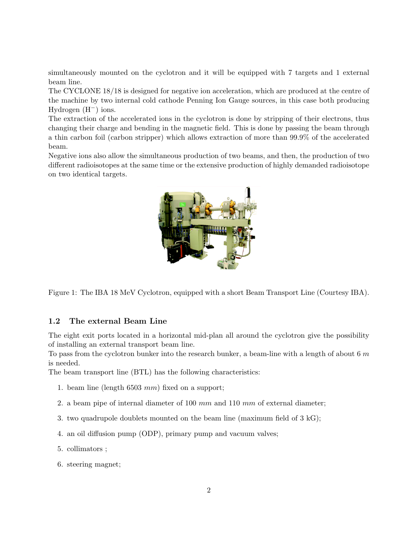simultaneously mounted on the cyclotron and it will be equipped with 7 targets and 1 external beam line.

The CYCLONE 18/18 is designed for negative ion acceleration, which are produced at the centre of the machine by two internal cold cathode Penning Ion Gauge sources, in this case both producing Hydrogen (H−) ions.

The extraction of the accelerated ions in the cyclotron is done by stripping of their electrons, thus changing their charge and bending in the magnetic field. This is done by passing the beam through a thin carbon foil (carbon stripper) which allows extraction of more than 99.9% of the accelerated beam.

Negative ions also allow the simultaneous production of two beams, and then, the production of two different radioisotopes at the same time or the extensive production of highly demanded radioisotope on two identical targets.



Figure 1: The IBA 18 MeV Cyclotron, equipped with a short Beam Transport Line (Courtesy IBA).

#### 1.2 The external Beam Line

The eight exit ports located in a horizontal mid-plan all around the cyclotron give the possibility of installing an external transport beam line.

To pass from the cyclotron bunker into the research bunker, a beam-line with a length of about 6  $m$ is needed.

The beam transport line (BTL) has the following characteristics:

- 1. beam line (length 6503 mm) fixed on a support;
- 2. a beam pipe of internal diameter of 100  $mm$  and 110  $mm$  of external diameter;
- 3. two quadrupole doublets mounted on the beam line (maximum field of 3 kG);
- 4. an oil diffusion pump (ODP), primary pump and vacuum valves;
- 5. collimators ;
- 6. steering magnet;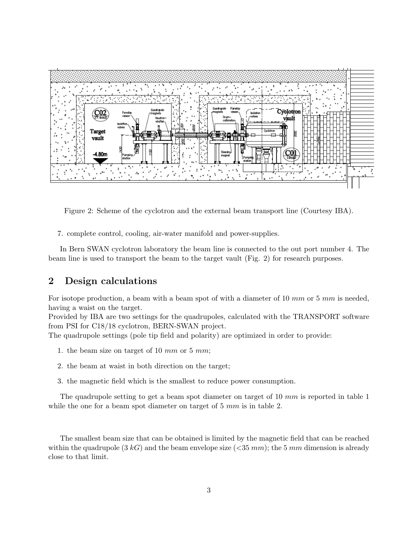

Figure 2: Scheme of the cyclotron and the external beam transport line (Courtesy IBA).

7. complete control, cooling, air-water manifold and power-supplies.

In Bern SWAN cyclotron laboratory the beam line is connected to the out port number 4. The beam line is used to transport the beam to the target vault (Fig. 2) for research purposes.

## 2 Design calculations

For isotope production, a beam with a beam spot of with a diameter of 10 mm or 5 mm is needed, having a waist on the target.

Provided by IBA are two settings for the quadrupoles, calculated with the TRANSPORT software from PSI for C18/18 cyclotron, BERN-SWAN project.

The quadrupole settings (pole tip field and polarity) are optimized in order to provide:

- 1. the beam size on target of 10 mm or 5 mm;
- 2. the beam at waist in both direction on the target;
- 3. the magnetic field which is the smallest to reduce power consumption.

The quadrupole setting to get a beam spot diameter on target of 10  $mm$  is reported in table 1 while the one for a beam spot diameter on target of 5 mm is in table 2.

The smallest beam size that can be obtained is limited by the magnetic field that can be reached within the quadrupole  $(3 kG)$  and the beam envelope size  $( $35 \, mm$ ); the 5 mm dimension is already$ close to that limit.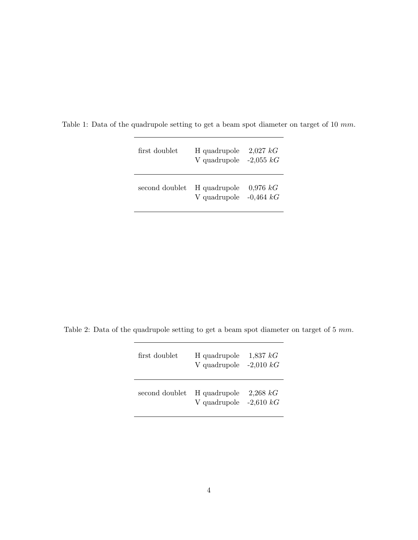| first doublet  | H quadrupole<br>V quadrupole $-2,055$ kG | $2,027$ kG                  |
|----------------|------------------------------------------|-----------------------------|
| second doublet | H quadrupole<br>V quadrupole             | $0.976\;kG$<br>$-0.464\;kG$ |

Table 1: Data of the quadrupole setting to get a beam spot diameter on target of 10 mm.

Table 2: Data of the quadrupole setting to get a beam spot diameter on target of 5 mm.

| first doublet  | H quadrupole<br>V quadrupole             | $1,837\;kG$<br>$-2,010\;kG$ |
|----------------|------------------------------------------|-----------------------------|
| second doublet | H quadrupole<br>V quadrupole $-2,610 kG$ | 2,268 kG                    |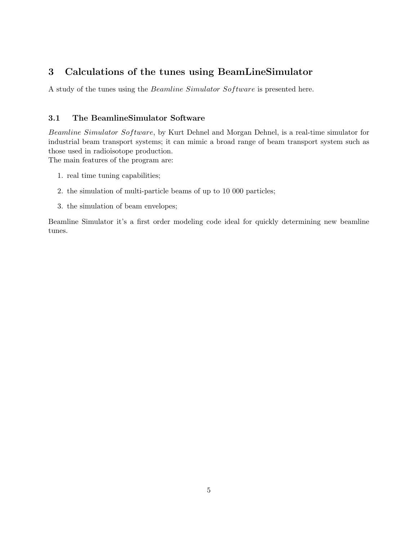## 3 Calculations of the tunes using BeamLineSimulator

A study of the tunes using the Beamline Simulator Software is presented here.

### 3.1 The BeamlineSimulator Software

Beamline Simulator Software, by Kurt Dehnel and Morgan Dehnel, is a real-time simulator for industrial beam transport systems; it can mimic a broad range of beam transport system such as those used in radioisotope production.

The main features of the program are:

- 1. real time tuning capabilities;
- 2. the simulation of multi-particle beams of up to 10 000 particles;
- 3. the simulation of beam envelopes;

Beamline Simulator it's a first order modeling code ideal for quickly determining new beamline tunes.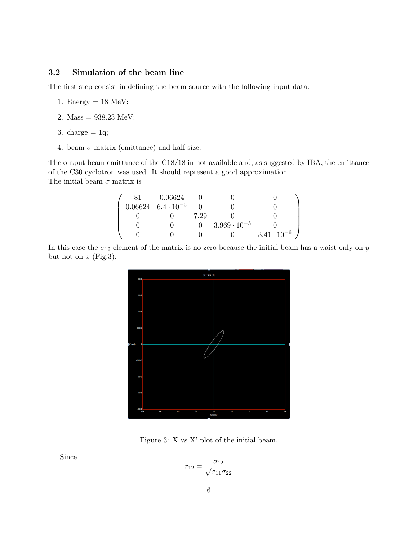#### 3.2 Simulation of the beam line

The first step consist in defining the beam source with the following input data:

- 1. Energy  $= 18$  MeV;
- 2. Mass =  $938.23$  MeV;
- 3. charge  $= 1q$ ;
- 4. beam  $\sigma$  matrix (emittance) and half size.

The output beam emittance of the C18/18 in not available and, as suggested by IBA, the emittance of the C30 cyclotron was used. It should represent a good approximation. The initial beam  $\sigma$  matrix is

$$
\left(\begin{array}{cccccc} 81 & 0.06624 & 0 & 0 & 0 \\ 0.06624 & 6.4\cdot 10^{-5} & 0 & 0 & 0 \\ 0 & 0 & 7.29 & 0 & 0 \\ 0 & 0 & 0 & 3.969\cdot 10^{-5} & 0 \\ 0 & 0 & 0 & 0 & 3.41\cdot 10^{-6} \end{array}\right)
$$

In this case the  $\sigma_{12}$  element of the matrix is no zero because the initial beam has a waist only on y but not on  $x$  (Fig.3).



Figure 3: X vs X' plot of the initial beam.

Since

$$
r_{12} = \frac{\sigma_{12}}{\sqrt{\sigma_{11}\sigma_{22}}}
$$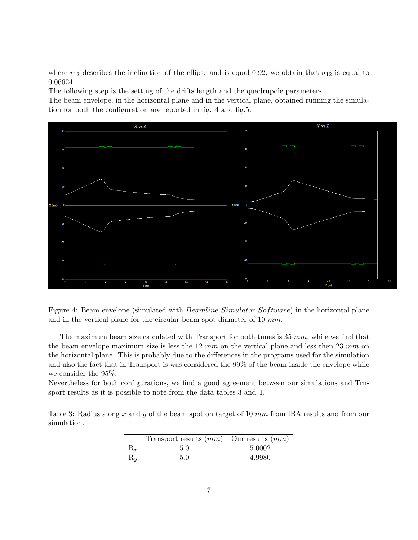where  $r_{12}$  describes the inclination of the ellipse and is equal 0.92, we obtain that  $\sigma_{12}$  is equal to 0.06624.

The following step is the setting of the drifts length and the quadrupole parameters.

The beam envelope, in the horizontal plane and in the vertical plane, obtained running the simulation for both the configuration are reported in fig. 4 and fig.5.



Figure 4: Beam envelope (simulated with Beamline Simulator Software) in the horizontal plane and in the vertical plane for the circular beam spot diameter of 10 mm.

The maximum beam size calculated with Transport for both tunes is  $35 \, mm$ , while we find that the beam envelope maximum size is less the  $12 \, mm$  on the vertical plane and less then  $23 \, mm$  on the horizontal plane. This is probably due to the differences in the programs used for the simulation and also the fact that in Transport is was considered the 99% of the beam inside the envelope while we consider the 95%.

Nevertheless for both configurations, we find a good agreement between our simulations and Trnsport results as it is possible to note from the data tables 3 and 4.

Table 3: Radius along x and y of the beam spot on target of 10 mm from IBA results and from our simulation.

|                           | Transport results $(mm)$ Our results $(mm)$ |        |
|---------------------------|---------------------------------------------|--------|
| $\mathfrak{n}_x$          | 5.0                                         | 5.0002 |
| $\mathbf{K}_{\mathbf{u}}$ | 5.0                                         | 4.9980 |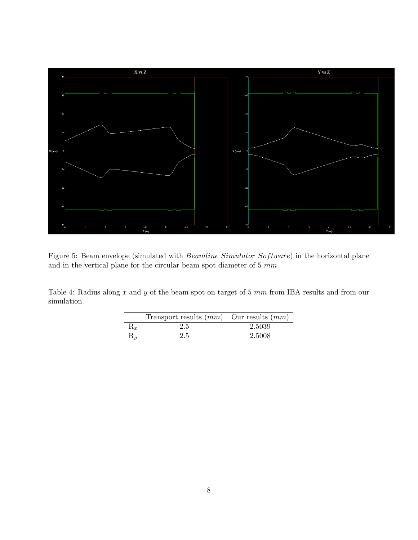

Figure 5: Beam envelope (simulated with Beamline Simulator Software) in the horizontal plane and in the vertical plane for the circular beam spot diameter of  $5 \ mm$ .

Table 4: Radius along  $x$  and  $y$  of the beam spot on target of 5  $mm$  from IBA results and from our simulation.

|                | Transport results $(mm)$ Our results $(mm)$ |        |
|----------------|---------------------------------------------|--------|
|                | 2.5                                         | 2.5039 |
| $\mathrm{R}_u$ | 2.5                                         | 2.5008 |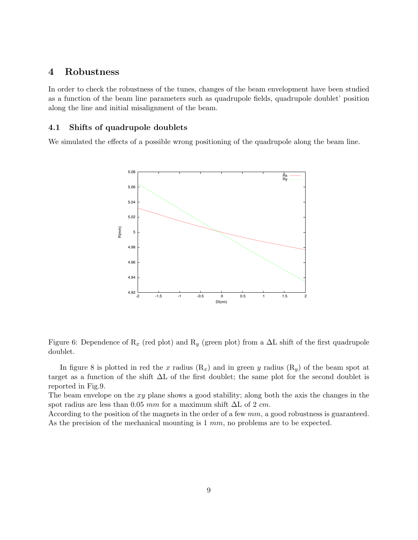## 4 Robustness

In order to check the robustness of the tunes, changes of the beam envelopment have been studied as a function of the beam line parameters such as quadrupole fields, quadrupole doublet' position along the line and initial misalignment of the beam.

#### 4.1 Shifts of quadrupole doublets

We simulated the effects of a possible wrong positioning of the quadrupole along the beam line.



Figure 6: Dependence of  $R_x$  (red plot) and  $R_y$  (green plot) from a  $\Delta L$  shift of the first quadrupole doublet.

In figure 8 is plotted in red the x radius  $(R_x)$  and in green y radius  $(R_y)$  of the beam spot at target as a function of the shift ∆L of the first doublet; the same plot for the second doublet is reported in Fig.9.

The beam envelope on the xy plane shows a good stability; along both the axis the changes in the spot radius are less than 0.05 mm for a maximum shift  $\Delta L$  of 2 cm.

According to the position of the magnets in the order of a few  $mm$ , a good robustness is guaranteed. As the precision of the mechanical mounting is 1 mm, no problems are to be expected.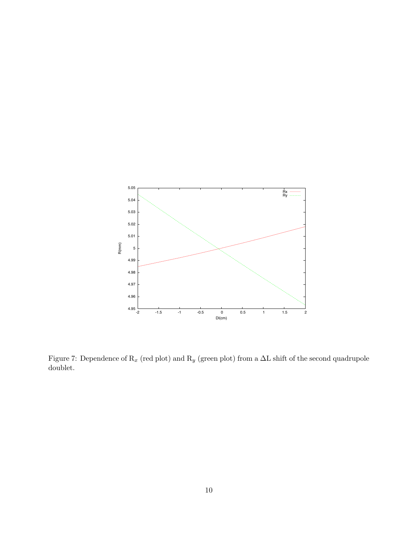

Figure 7: Dependence of  $\mathcal{R}_x$  (red plot) and  $\mathcal{R}_y$  (green plot) from a  $\Delta\mathcal{L}$  shift of the second quadrupole doublet.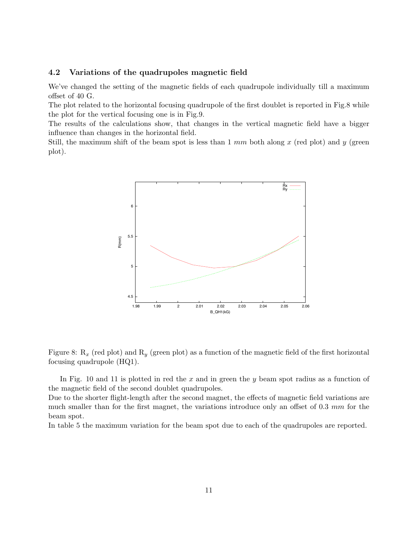#### 4.2 Variations of the quadrupoles magnetic field

We've changed the setting of the magnetic fields of each quadrupole individually till a maximum offset of 40 G.

The plot related to the horizontal focusing quadrupole of the first doublet is reported in Fig.8 while the plot for the vertical focusing one is in Fig.9.

The results of the calculations show, that changes in the vertical magnetic field have a bigger influence than changes in the horizontal field.

Still, the maximum shift of the beam spot is less than  $1 \, mm$  both along x (red plot) and y (green plot).



Figure 8:  $R_x$  (red plot) and  $R_y$  (green plot) as a function of the magnetic field of the first horizontal focusing quadrupole (HQ1).

In Fig. 10 and 11 is plotted in red the  $x$  and in green the  $y$  beam spot radius as a function of the magnetic field of the second doublet quadrupoles.

Due to the shorter flight-length after the second magnet, the effects of magnetic field variations are much smaller than for the first magnet, the variations introduce only an offset of 0.3 mm for the beam spot.

In table 5 the maximum variation for the beam spot due to each of the quadrupoles are reported.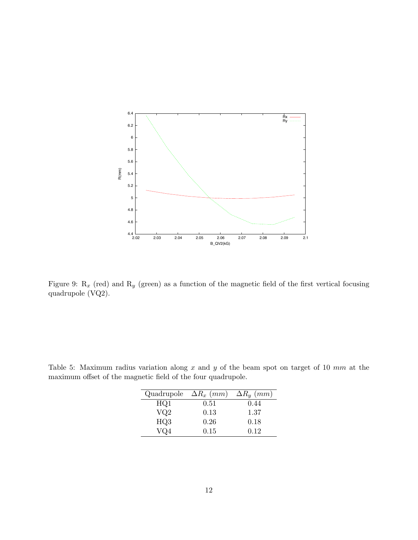

Figure 9:  $R_x$  (red) and  $R_y$  (green) as a function of the magnetic field of the first vertical focusing quadrupole (VQ2).

| Quadrupole $\Delta R_x$ (mm) |      | $\Delta R_y$ (mm) |
|------------------------------|------|-------------------|
| HQ1                          | 0.51 | 0.44              |
| VQ2                          | 0.13 | 1.37              |
| HQ3                          | 0.26 | 0.18              |
| VO4                          | 0.15 | 0.12              |

Table 5: Maximum radius variation along  $x$  and  $y$  of the beam spot on target of 10  $mm$  at the maximum offset of the magnetic field of the four quadrupole.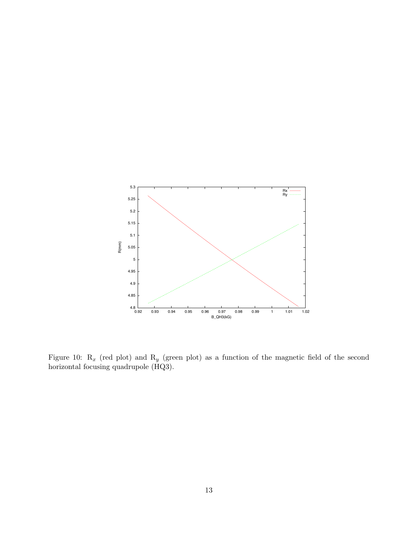

Figure 10:  $R_x$  (red plot) and  $R_y$  (green plot) as a function of the magnetic field of the second horizontal focusing quadrupole (HQ3).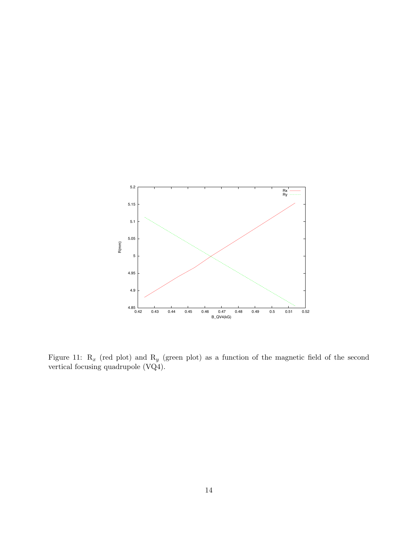

Figure 11:  $R_x$  (red plot) and  $R_y$  (green plot) as a function of the magnetic field of the second vertical focusing quadrupole (VQ4).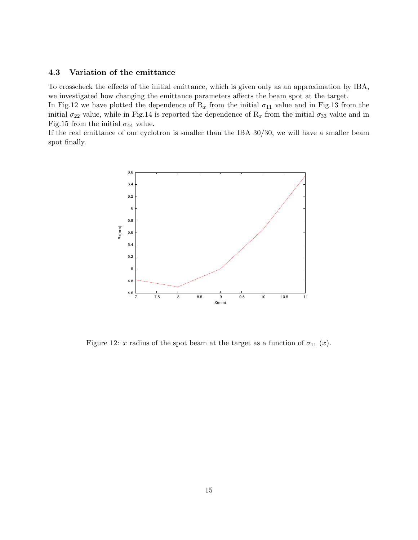#### 4.3 Variation of the emittance

To crosscheck the effects of the initial emittance, which is given only as an approximation by IBA, we investigated how changing the emittance parameters affects the beam spot at the target.

In Fig.12 we have plotted the dependence of  $R_x$  from the initial  $\sigma_{11}$  value and in Fig.13 from the initial  $\sigma_{22}$  value, while in Fig.14 is reported the dependence of  $R_x$  from the initial  $\sigma_{33}$  value and in Fig.15 from the initial  $\sigma_{44}$  value.

If the real emittance of our cyclotron is smaller than the IBA 30/30, we will have a smaller beam spot finally.



Figure 12: x radius of the spot beam at the target as a function of  $\sigma_{11}$  (x).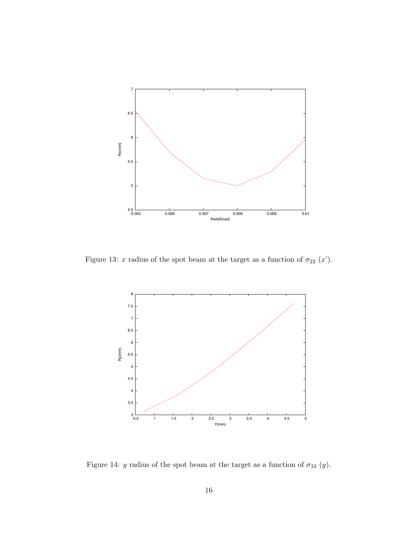

Figure 13: x radius of the spot beam at the target as a function of  $\sigma_{22}$  (x').



Figure 14: y radius of the spot beam at the target as a function of  $\sigma_{33}$  (y).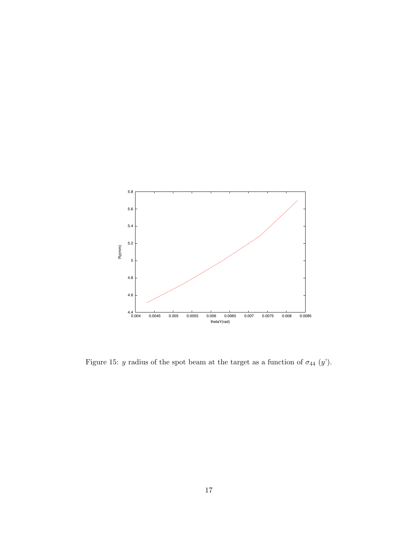

Figure 15:  $y$  radius of the spot beam at the target as a function of  $\sigma_{44}$  ( $y'$ ).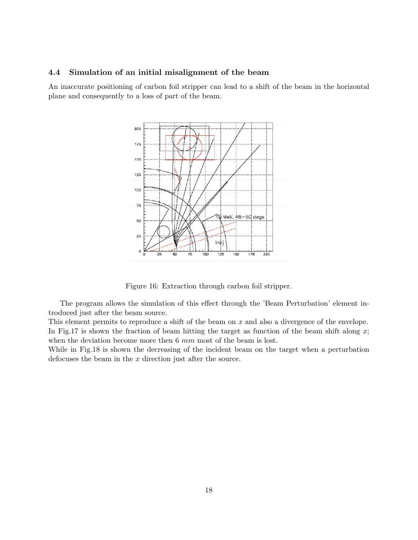#### 4.4 Simulation of an initial misalignment of the beam

An inaccurate positioning of carbon foil stripper can lead to a shift of the beam in the horizontal plane and consequently to a loss of part of the beam.



Figure 16: Extraction through carbon foil stripper.

The program allows the simulation of this effect through the 'Beam Perturbation' element introduced just after the beam source.

This element permits to reproduce a shift of the beam on  $x$  and also a divergence of the envelope. In Fig.17 is shown the fraction of beam hitting the target as function of the beam shift along  $x$ ; when the deviation become more then 6 mm most of the beam is lost.

While in Fig.18 is shown the decreasing of the incident beam on the target when a perturbation defocuses the beam in the  $x$  direction just after the source.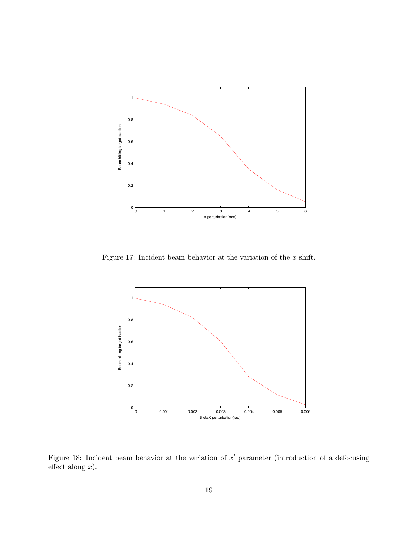

Figure 17: Incident beam behavior at the variation of the  $x$  shift.



Figure 18: Incident beam behavior at the variation of  $x'$  parameter (introduction of a defocusing effect along  $x$ ).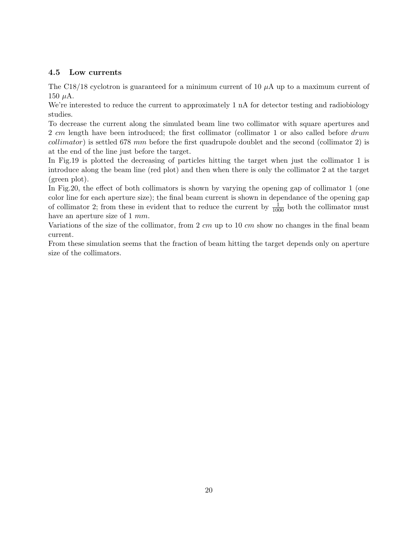#### 4.5 Low currents

The C18/18 cyclotron is guaranteed for a minimum current of 10  $\mu$ A up to a maximum current of 150  $\mu$ A.

We're interested to reduce the current to approximately 1 nA for detector testing and radiobiology studies.

To decrease the current along the simulated beam line two collimator with square apertures and 2 cm length have been introduced; the first collimator (collimator 1 or also called before drum collimator) is settled 678 mm before the first quadrupole doublet and the second (collimator 2) is at the end of the line just before the target.

In Fig.19 is plotted the decreasing of particles hitting the target when just the collimator 1 is introduce along the beam line (red plot) and then when there is only the collimator 2 at the target (green plot).

In Fig.20, the effect of both collimators is shown by varying the opening gap of collimator 1 (one color line for each aperture size); the final beam current is shown in dependance of the opening gap of collimator 2; from these in evident that to reduce the current by  $\frac{1}{1000}$  both the collimator must have an aperture size of 1 mm.

Variations of the size of the collimator, from 2  $cm$  up to 10  $cm$  show no changes in the final beam current.

From these simulation seems that the fraction of beam hitting the target depends only on aperture size of the collimators.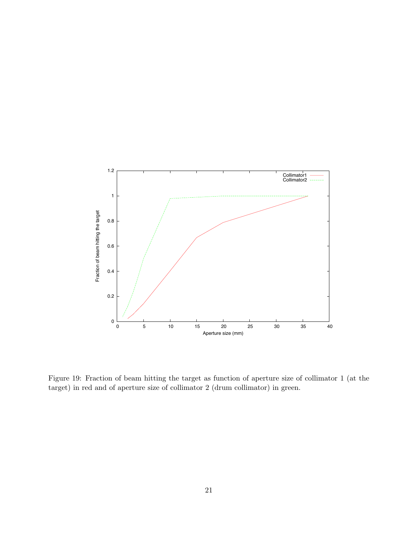

Figure 19: Fraction of beam hitting the target as function of aperture size of collimator 1 (at the target) in red and of aperture size of collimator 2 (drum collimator) in green.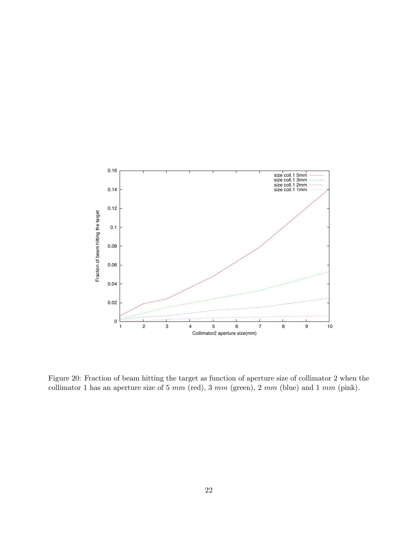

Figure 20: Fraction of beam hitting the target as function of aperture size of collimator 2 when the collimator 1 has an aperture size of 5  $mm$  (red), 3  $mm$  (green), 2  $mm$  (blue) and 1  $mm$  (pink).